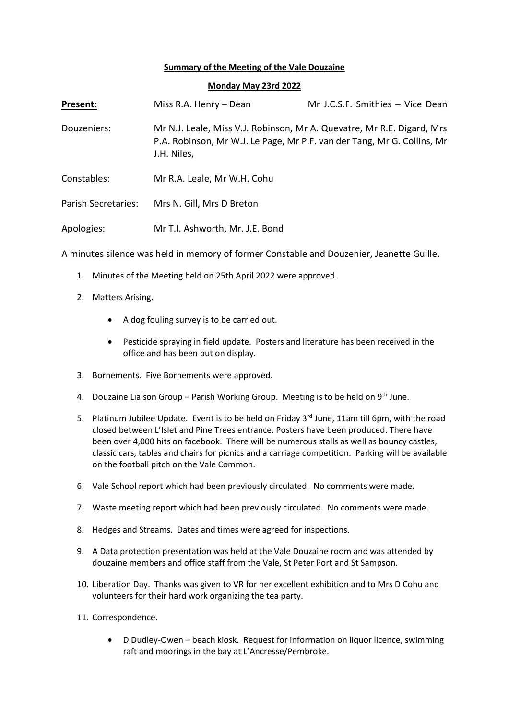## **Summary of the Meeting of the Vale Douzaine**

## **Monday May 23rd 2022**

| Present:                   | Miss R.A. Henry - Dean          | Mr J.C.S.F. Smithies - Vice Dean                                                                                                                  |
|----------------------------|---------------------------------|---------------------------------------------------------------------------------------------------------------------------------------------------|
| Douzeniers:                | J.H. Niles,                     | Mr N.J. Leale, Miss V.J. Robinson, Mr A. Quevatre, Mr R.E. Digard, Mrs<br>P.A. Robinson, Mr W.J. Le Page, Mr P.F. van der Tang, Mr G. Collins, Mr |
| Constables:                | Mr R.A. Leale, Mr W.H. Cohu     |                                                                                                                                                   |
| <b>Parish Secretaries:</b> | Mrs N. Gill, Mrs D Breton       |                                                                                                                                                   |
| Apologies:                 | Mr T.I. Ashworth, Mr. J.E. Bond |                                                                                                                                                   |

A minutes silence was held in memory of former Constable and Douzenier, Jeanette Guille.

- 1. Minutes of the Meeting held on 25th April 2022 were approved.
- 2. Matters Arising.
	- A dog fouling survey is to be carried out.
	- Pesticide spraying in field update. Posters and literature has been received in the office and has been put on display.
- 3. Bornements. Five Bornements were approved.
- 4. Douzaine Liaison Group Parish Working Group. Meeting is to be held on 9<sup>th</sup> June.
- 5. Platinum Jubilee Update. Event is to be held on Friday 3<sup>rd</sup> June, 11am till 6pm, with the road closed between L'Islet and Pine Trees entrance. Posters have been produced. There have been over 4,000 hits on facebook. There will be numerous stalls as well as bouncy castles, classic cars, tables and chairs for picnics and a carriage competition. Parking will be available on the football pitch on the Vale Common.
- 6. Vale School report which had been previously circulated. No comments were made.
- 7. Waste meeting report which had been previously circulated. No comments were made.
- 8. Hedges and Streams. Dates and times were agreed for inspections.
- 9. A Data protection presentation was held at the Vale Douzaine room and was attended by douzaine members and office staff from the Vale, St Peter Port and St Sampson.
- 10. Liberation Day. Thanks was given to VR for her excellent exhibition and to Mrs D Cohu and volunteers for their hard work organizing the tea party.
- 11. Correspondence.
	- D Dudley-Owen beach kiosk. Request for information on liquor licence, swimming raft and moorings in the bay at L'Ancresse/Pembroke.